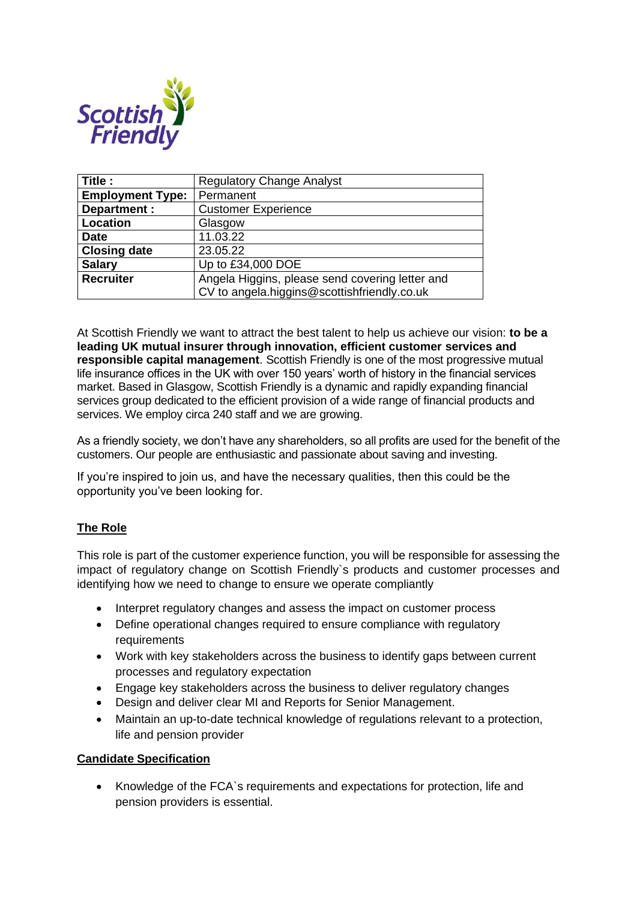

| Title :                 | <b>Regulatory Change Analyst</b>                |
|-------------------------|-------------------------------------------------|
| <b>Employment Type:</b> | Permanent                                       |
| Department :            | <b>Customer Experience</b>                      |
| Location                | Glasgow                                         |
| <b>Date</b>             | 11.03.22                                        |
| <b>Closing date</b>     | 23.05.22                                        |
| <b>Salary</b>           | Up to £34,000 DOE                               |
| <b>Recruiter</b>        | Angela Higgins, please send covering letter and |
|                         | CV to angela.higgins@scottishfriendly.co.uk     |

At Scottish Friendly we want to attract the best talent to help us achieve our vision: **to be a leading UK mutual insurer through innovation, efficient customer services and responsible capital management**. Scottish Friendly is one of the most progressive mutual life insurance offices in the UK with over 150 years' worth of history in the financial services market. Based in Glasgow, Scottish Friendly is a dynamic and rapidly expanding financial services group dedicated to the efficient provision of a wide range of financial products and services. We employ circa 240 staff and we are growing.

As a friendly society, we don't have any shareholders, so all profits are used for the benefit of the customers. Our people are enthusiastic and passionate about saving and investing.

If you're inspired to join us, and have the necessary qualities, then this could be the opportunity you've been looking for.

## **The Role**

This role is part of the customer experience function, you will be responsible for assessing the impact of regulatory change on Scottish Friendly`s products and customer processes and identifying how we need to change to ensure we operate compliantly

- Interpret regulatory changes and assess the impact on customer process
- Define operational changes required to ensure compliance with regulatory requirements
- Work with key stakeholders across the business to identify gaps between current processes and regulatory expectation
- Engage key stakeholders across the business to deliver regulatory changes
- Design and deliver clear MI and Reports for Senior Management.
- Maintain an up-to-date technical knowledge of regulations relevant to a protection, life and pension provider

## **Candidate Specification**

• Knowledge of the FCA`s requirements and expectations for protection, life and pension providers is essential.